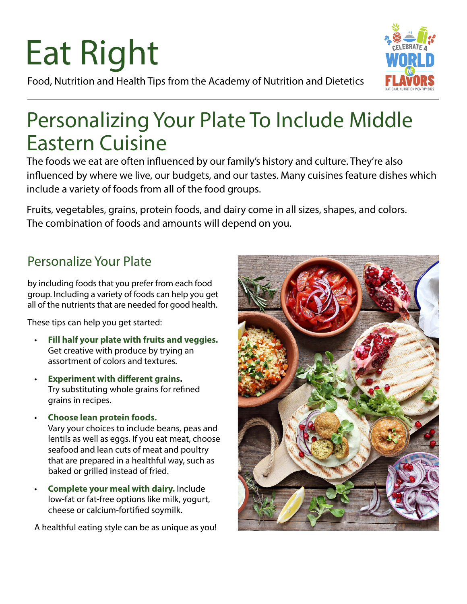# Eat Right

Food, Nutrition and Health Tips from the Academy of Nutrition and Dietetics

## Personalizing Your Plate To Include Middle Eastern Cuisine

The foods we eat are often influenced by our family's history and culture. They're also influenced by where we live, our budgets, and our tastes. Many cuisines feature dishes which include a variety of foods from all of the food groups.

Fruits, vegetables, grains, protein foods, and dairy come in all sizes, shapes, and colors. The combination of foods and amounts will depend on you.

### Personalize Your Plate

by including foods that you prefer from each food group. Including a variety of foods can help you get all of the nutrients that are needed for good health.

These tips can help you get started:

- **Fill half your plate with fruits and veggies.** Get creative with produce by trying an assortment of colors and textures.
- **Experiment with different grains.** Try substituting whole grains for refined grains in recipes.
- **Choose lean protein foods.** Vary your choices to include beans, peas and lentils as well as eggs. If you eat meat, choose seafood and lean cuts of meat and poultry that are prepared in a healthful way, such as baked or grilled instead of fried.
- **Complete your meal with dairy.** Include low-fat or fat-free options like milk, yogurt, cheese or calcium-fortified soymilk.

A healthful eating style can be as unique as you!